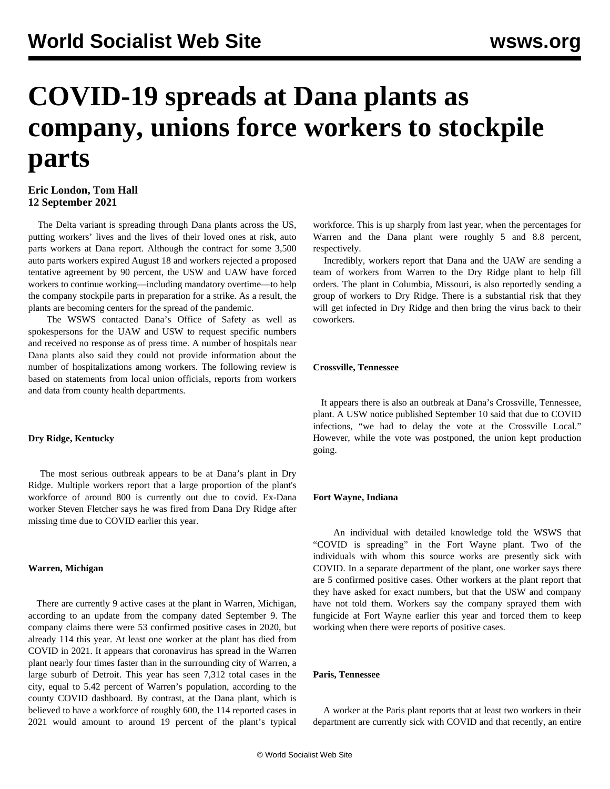# **COVID-19 spreads at Dana plants as company, unions force workers to stockpile parts**

# **Eric London, Tom Hall 12 September 2021**

 The Delta variant is spreading through Dana plants across the US, putting workers' lives and the lives of their loved ones at risk, auto parts workers at Dana report. Although the contract for some 3,500 auto parts workers expired August 18 and workers rejected a proposed tentative agreement by 90 percent, the USW and UAW have forced workers to continue working—including mandatory overtime—to help the company stockpile parts in preparation for a strike. As a result, the plants are becoming centers for the spread of the pandemic.

 The WSWS contacted Dana's Office of Safety as well as spokespersons for the UAW and USW to request specific numbers and received no response as of press time. A number of hospitals near Dana plants also said they could not provide information about the number of hospitalizations among workers. The following review is based on statements from local union officials, reports from workers and data from county health departments.

# **Dry Ridge, Kentucky**

 The most serious outbreak appears to be at Dana's plant in Dry Ridge. Multiple workers report that a large proportion of the plant's workforce of around 800 is currently out due to covid. Ex-Dana worker Steven Fletcher says he was [fired](/en/articles/2021/09/07/dana-s07.html) from Dana Dry Ridge after missing time due to COVID earlier this year.

# **Warren, Michigan**

 There are currently 9 active cases at the plant in Warren, Michigan, according to an update from the company dated September 9. The company claims there were 53 confirmed positive cases in 2020, but already 114 this year. At least one worker at the plant has died from COVID in 2021. It appears that coronavirus has spread in the Warren plant nearly four times faster than in the surrounding city of Warren, a large suburb of Detroit. This year has seen 7,312 total cases in the city, equal to 5.42 percent of Warren's population, according to the county COVID dashboard. By contrast, at the Dana plant, which is believed to have a workforce of roughly 600, the 114 reported cases in 2021 would amount to around 19 percent of the plant's typical workforce. This is up sharply from last year, when the percentages for Warren and the Dana plant were roughly 5 and 8.8 percent, respectively.

 Incredibly, workers report that Dana and the UAW are sending a team of workers from Warren to the Dry Ridge plant to help fill orders. The plant in Columbia, Missouri, is also reportedly sending a group of workers to Dry Ridge. There is a substantial risk that they will get infected in Dry Ridge and then bring the virus back to their coworkers.

# **Crossville, Tennessee**

 It appears there is also an outbreak at Dana's Crossville, Tennessee, plant. A USW notice published September 10 said that due to COVID infections, "we had to delay the vote at the Crossville Local." However, while the vote was postponed, the union kept production going.

# **Fort Wayne, Indiana**

 An individual with detailed knowledge told the WSWS that "COVID is spreading" in the Fort Wayne plant. Two of the individuals with whom this source works are presently sick with COVID. In a separate department of the plant, one worker says there are 5 confirmed positive cases. Other workers at the plant report that they have asked for exact numbers, but that the USW and company have not told them. Workers say the company [sprayed them with](/en/articles/2021/09/03/apsn-s03.html) [fungicide](/en/articles/2021/09/03/apsn-s03.html) at Fort Wayne earlier this year and forced them to keep working when there were reports of positive cases.

### **Paris, Tennessee**

 A worker at the Paris plant reports that at least two workers in their department are currently sick with COVID and that recently, an entire